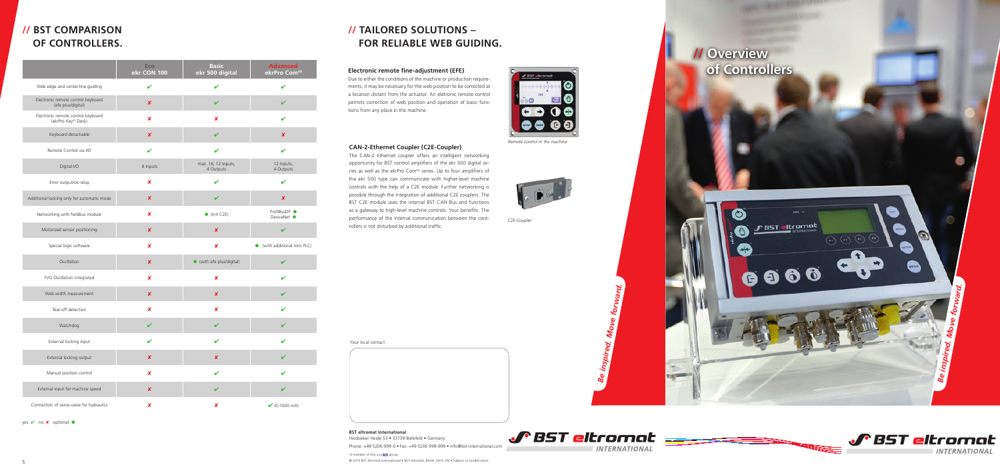



# **// Overview Electronic remote fine-adjustment (EFE) of Controllers**





Due to either the conditions of the machine or production requirements, it may be necessary for the web position to be corrected at a location distant from the actuator. An eletronic remote control permits correction of web position and operation of basic functions from any place in the machine.

#### **CAN-2-Ethernet Coupler (C2E-Coupler)**

The CAN-2 Ethernet coupler offers an intelligent networking opportunity for BST control amplifiers of the ekr 500 digital se ries as well as the ekrPro Com<sup>60</sup> series. Up to four amplifiers of the ekr 500 type can communicate with higher-level machine controls with the help of a C2E module. Further networking is possible through the integration of additional C2E couplers. The BST C2E module uses the internal BST CAN Bus and functions as a gateway to high-level machine controls. Your benefits: The performance of the internal communication between the cont rollers is not disturbed by additional traffic.

### **// TAILORED SOLUTIONS – FOR RELIABLE WEB GUIDING.**

## **// BST COMPARISON OF CONTROLLERS.**

*Remote control in the machine*



*C2E-Coupler*

A member of the CLCXIS aroup **BST eltromat International** Heidsieker Heide 53 • 33739 Bielefeld • Germany Phone: +49 5206 999-0 • Fax: +49 5206 999-999 • info@bst-international.com

|                                                                       | Eco<br>ekr CON 100        | <b>Basic</b><br>ekr 500 digital  | <b>Advanced</b><br>ekrPro Com <sup>60</sup> |
|-----------------------------------------------------------------------|---------------------------|----------------------------------|---------------------------------------------|
| Web edge and center-line guiding                                      | V                         | $\mathbf v$                      | $\checkmark$                                |
| Electronic remote control keyboard<br>(efe plus/digital)              | $\boldsymbol{x}$          | $\checkmark$                     | V                                           |
| Electronic remote control keyboard<br>(ekrPro Key <sup>60</sup> Desk) | $\boldsymbol{x}$          | $\pmb{\mathsf{x}}$               | V                                           |
| Keyboard detachable                                                   | $\boldsymbol{x}$          | $\checkmark$                     | $\pmb{\times}$                              |
| Remote Control via I/O                                                | V                         | $\mathbf v$                      | V                                           |
| Digital I/O                                                           | 8 Inputs                  | max. 16; 12 Inputs,<br>4 Outputs | 12 Inputs,<br>4 Outputs                     |
| Error output/ok-relay                                                 | $\boldsymbol{\mathsf{x}}$ | $\checkmark$                     | V                                           |
| Additional locking only for automatic mode                            | $\pmb{\times}$            | $\checkmark$                     | $\pmb{\times}$                              |
| Networking with fieldbus module                                       | $\boldsymbol{\mathsf{x}}$ | $\bullet$ (mit C2E)              | ProfiBusDP ●<br>DeviceNet •                 |
| Motorized sensor positioning                                          | $\boldsymbol{\mathsf{x}}$ | $\boldsymbol{\mathsf{x}}$        | V                                           |
| Special logic software                                                | $\boldsymbol{x}$          | $\boldsymbol{x}$                 | (with additional mini PLC)                  |
| Oscillation                                                           | $\boldsymbol{\mathsf{x}}$ | ● (with efe plus/digital)        | V                                           |
| FVG Oscillation integrated                                            | $\boldsymbol{x}$          | X                                | ✔                                           |
| Web width measurement                                                 | $\boldsymbol{x}$          | $\pmb{\times}$                   | V                                           |
| Tear-off detection                                                    | x                         | x                                | $\mathbf{v}$                                |
| Watchdog                                                              | V                         | $\checkmark$                     | V                                           |
| External locking input                                                | V                         | $\boldsymbol{\mathcal{U}}$       | ✓                                           |
| External locking output                                               | $\boldsymbol{x}$          | $\pmb{\times}$                   | V                                           |
| Manual position control                                               | $\boldsymbol{x}$          | V                                | V                                           |
| External input for machine speed                                      | $\pmb{\times}$            | V                                | V                                           |
| Connection of servo-valve for hydraulics                              | $\pmb{\mathsf{x}}$        | $\pmb{\mathsf{x}}$               | $\bigvee$ (0-1000 mA)                       |

yes: ✔ no: <mark>×</mark> optional: ●

Your local contact

© 2015 BST eltromat International • BST-eltromat\_B404\_0415\_EN • Subject to modification